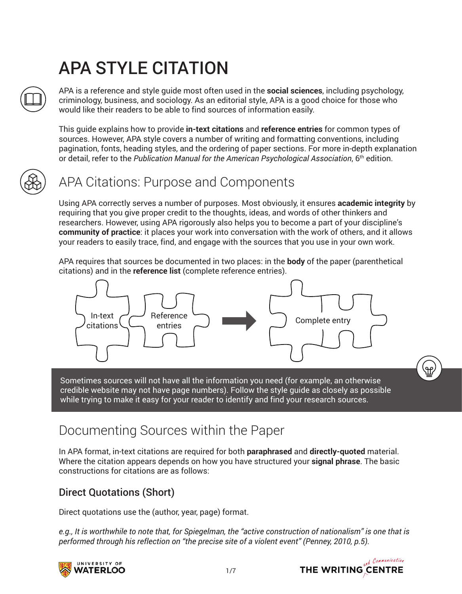# APA STYLE CITATION

APA is a reference and style guide most often used in the **social sciences**, including psychology, criminology, business, and sociology. As an editorial style, APA is a good choice for those who would like their readers to be able to find sources of information easily.

This guide explains how to provide **in-text citations** and **reference entries** for common types of sources. However, APA style covers a number of writing and formatting conventions, including pagination, fonts, heading styles, and the ordering of paper sections. For more in-depth explanation or detail, refer to the *Publication Manual for the American Psychological Association*, 6th edition.



### APA Citations: Purpose and Components

Using APA correctly serves a number of purposes. Most obviously, it ensures **academic integrity** by requiring that you give proper credit to the thoughts, ideas, and words of other thinkers and researchers. However, using APA rigorously also helps you to become a part of your discipline's **community of practice**: it places your work into conversation with the work of others, and it allows your readers to easily trace, find, and engage with the sources that you use in your own work.

APA requires that sources be documented in two places: in the **body** of the paper (parenthetical citations) and in the **reference list** (complete reference entries).



Sometimes sources will not have all the information you need (for example, an otherwise credible website may not have page numbers). Follow the style guide as closely as possible while trying to make it easy for your reader to identify and find your research sources.

### Documenting Sources within the Paper

In APA format, in-text citations are required for both **paraphrased** and **directly-quoted** material. Where the citation appears depends on how you have structured your **signal phrase**. The basic constructions for citations are as follows:

### Direct Quotations (Short)

Direct quotations use the (author, year, page) format.

*e.g., It is worthwhile to note that, for Spiegelman, the "active construction of nationalism" is one that is performed through his reflection on "the precise site of a violent event" (Penney, 2010, p.5).*





e<br>Hu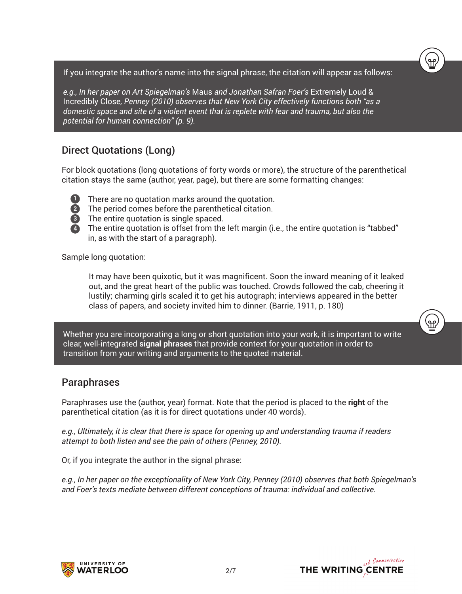If you integrate the author's name into the signal phrase, the citation will appear as follows:

*e.g., In her paper on Art Spiegelman's* Maus *and Jonathan Safran Foer's* Extremely Loud & Incredibly Close*, Penney (2010) observes that New York City effectively functions both "as a domestic space and site of a violent event that is replete with fear and trauma, but also the potential for human connection" (p. 9).*

#### Direct Quotations (Long)

For block quotations (long quotations of forty words or more), the structure of the parenthetical citation stays the same (author, year, page), but there are some formatting changes:

- **1**
	- There are no quotation marks around the quotation.
- **2** The period comes before the parenthetical citation.
- The entire quotation is single spaced. **3**



Sample long quotation:

It may have been quixotic, but it was magnificent. Soon the inward meaning of it leaked out, and the great heart of the public was touched. Crowds followed the cab, cheering it lustily; charming girls scaled it to get his autograph; interviews appeared in the better class of papers, and society invited him to dinner. (Barrie, 1911, p. 180)

Whether you are incorporating a long or short quotation into your work, it is important to write clear, well-integrated **signal phrases** that provide context for your quotation in order to transition from your writing and arguments to the quoted material.

#### Paraphrases

Paraphrases use the (author, year) format. Note that the period is placed to the **right** of the parenthetical citation (as it is for direct quotations under 40 words).

*e.g., Ultimately, it is clear that there is space for opening up and understanding trauma if readers attempt to both listen and see the pain of others (Penney, 2010).*

Or, if you integrate the author in the signal phrase:

*e.g., In her paper on the exceptionality of New York City, Penney (2010) observes that both Spiegelman's and Foer's texts mediate between different conceptions of trauma: individual and collective.*





<u>۾</u>

۹ę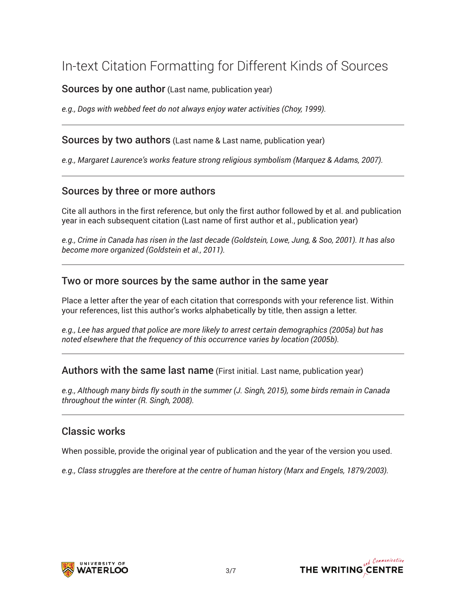### In-text Citation Formatting for Different Kinds of Sources

Sources by one author (Last name, publication year)

*e.g., Dogs with webbed feet do not always enjoy water activities (Choy, 1999).*

Sources by two authors (Last name & Last name, publication year)

*e.g., Margaret Laurence's works feature strong religious symbolism (Marquez & Adams, 2007).*

#### Sources by three or more authors

Cite all authors in the first reference, but only the first author followed by et al. and publication year in each subsequent citation (Last name of first author et al., publication year)

*e.g., Crime in Canada has risen in the last decade (Goldstein, Lowe, Jung, & Soo, 2001). It has also become more organized (Goldstein et al., 2011).*

#### Two or more sources by the same author in the same year

Place a letter after the year of each citation that corresponds with your reference list. Within your references, list this author's works alphabetically by title, then assign a letter.

*e.g., Lee has argued that police are more likely to arrest certain demographics (2005a) but has noted elsewhere that the frequency of this occurrence varies by location (2005b).*

Authors with the same last name (First initial. Last name, publication year)

*e.g., Although many birds fly south in the summer (J. Singh, 2015), some birds remain in Canada throughout the winter (R. Singh, 2008).*

#### Classic works

When possible, provide the original year of publication and the year of the version you used.

*e.g., Class struggles are therefore at the centre of human history (Marx and Engels, 1879/2003).*



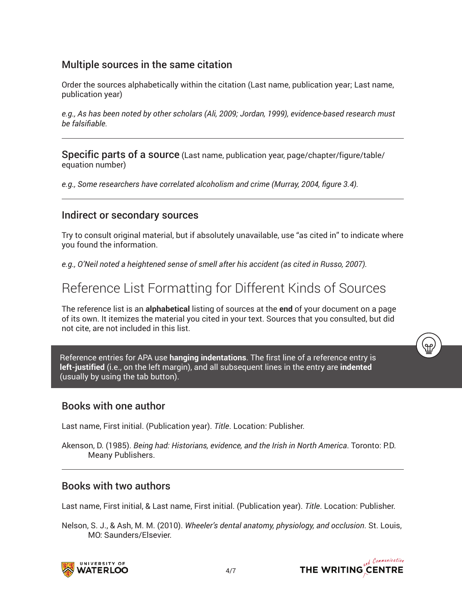#### Multiple sources in the same citation

Order the sources alphabetically within the citation (Last name, publication year; Last name, publication year)

*e.g., As has been noted by other scholars (Ali, 2009; Jordan, 1999), evidence-based research must be falsifiable.*

Specific parts of a source (Last name, publication year, page/chapter/figure/table/ equation number)

*e.g., Some researchers have correlated alcoholism and crime (Murray, 2004, figure 3.4).*

#### Indirect or secondary sources

Try to consult original material, but if absolutely unavailable, use "as cited in" to indicate where you found the information.

*e.g., O'Neil noted a heightened sense of smell after his accident (as cited in Russo, 2007).*

### Reference List Formatting for Different Kinds of Sources

The reference list is an **alphabetical** listing of sources at the **end** of your document on a page of its own. It itemizes the material you cited in your text. Sources that you consulted, but did not cite, are not included in this list.

Reference entries for APA use **hanging indentations**. The first line of a reference entry is **left-justified** (i.e., on the left margin), and all subsequent lines in the entry are **indented**  (usually by using the tab button).

#### Books with one author

Last name, First initial. (Publication year). *Title*. Location: Publisher.

Akenson, D. (1985). *Being had: Historians, evidence, and the Irish in North America*. Toronto: P.D. Meany Publishers.

#### Books with two authors

Last name, First initial, & Last name, First initial. (Publication year). *Title*. Location: Publisher.

Nelson, S. J., & Ash, M. M. (2010). *Wheeler's dental anatomy, physiology, and occlusion*. St. Louis, MO: Saunders/Elsevier.





്ഷ)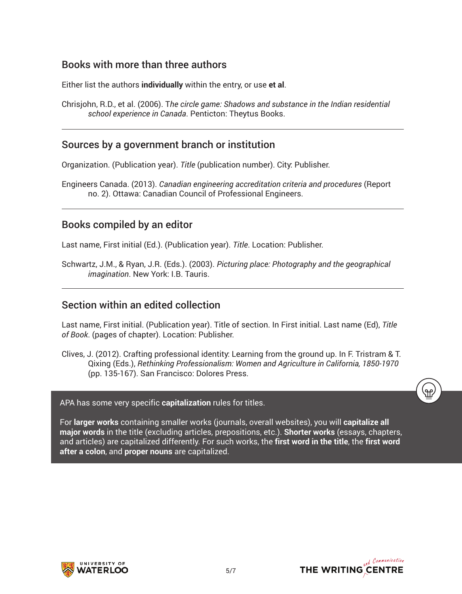#### Books with more than three authors

Either list the authors **individually** within the entry, or use **et al**.

Chrisjohn, R.D., et al. (2006). T*he circle game: Shadows and substance in the Indian residential school experience in Canada*. Penticton: Theytus Books.

#### Sources by a government branch or institution

Organization. (Publication year). *Title* (publication number). City: Publisher.

Engineers Canada. (2013). *Canadian engineering accreditation criteria and procedures* (Report no. 2). Ottawa: Canadian Council of Professional Engineers.

#### Books compiled by an editor

Last name, First initial (Ed.). (Publication year). *Title*. Location: Publisher.

Schwartz, J.M., & Ryan, J.R. (Eds.). (2003). *Picturing place: Photography and the geographical imagination*. New York: I.B. Tauris.

#### Section within an edited collection

Last name, First initial. (Publication year). Title of section. In First initial. Last name (Ed), *Title of Book*. (pages of chapter). Location: Publisher.

Clives, J. (2012). Crafting professional identity: Learning from the ground up. In F. Tristram & T. Qixing (Eds.), *Rethinking Professionalism: Women and Agriculture in California, 1850-1970* (pp. 135-167). San Francisco: Dolores Press.

APA has some very specific **capitalization** rules for titles.

For **larger works** containing smaller works (journals, overall websites), you will **capitalize all major words** in the title (excluding articles, prepositions, etc.). **Shorter works** (essays, chapters, and articles) are capitalized differently. For such works, the **first word in the title**, the **first word after a colon**, and **proper nouns** are capitalized.





<u>۾</u>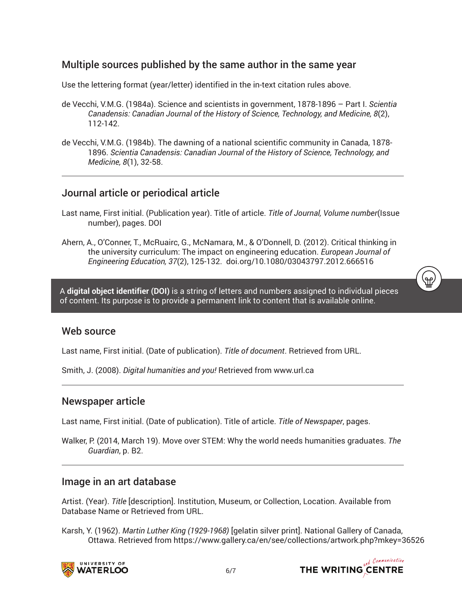#### Multiple sources published by the same author in the same year

Use the lettering format (year/letter) identified in the in-text citation rules above.

- de Vecchi, V.M.G. (1984a). Science and scientists in government, 1878-1896 Part I. *Scientia Canadensis: Canadian Journal of the History of Science, Technology, and Medicine, 8*(2), 112-142.
- de Vecchi, V.M.G. (1984b). The dawning of a national scientific community in Canada, 1878- 1896. *Scientia Canadensis: Canadian Journal of the History of Science, Technology, and Medicine, 8*(1), 32-58.

#### Journal article or periodical article

- Last name, First initial. (Publication year). Title of article. *Title of Journal, Volume number*(Issue number), pages. DOI
- Ahern, A., O'Conner, T., McRuairc, G., McNamara, M., & O'Donnell, D. (2012). Critical thinking in the university curriculum: The impact on engineering education. *European Journal of Engineering Education, 37*(2), 125-132. doi.org/10.1080/03043797.2012.666516

A **digital object identifier (DOI)** is a string of letters and numbers assigned to individual pieces of content. Its purpose is to provide a permanent link to content that is available online.

#### Web source

Last name, First initial. (Date of publication). *Title of document*. Retrieved from URL.

Smith, J. (2008). *Digital humanities and you!* Retrieved from www.url.ca

#### Newspaper article

Last name, First initial. (Date of publication). Title of article. *Title of Newspaper*, pages.

Walker, P. (2014, March 19). Move over STEM: Why the world needs humanities graduates. *The Guardian*, p. B2.

#### Image in an art database

Artist. (Year). *Title* [description]. Institution, Museum, or Collection, Location. Available from Database Name or Retrieved from URL.

Karsh, Y. (1962). *Martin Luther King (1929-1968)* [gelatin silver print]. National Gallery of Canada, Ottawa. Retrieved from https://www.gallery.ca/en/see/collections/artwork.php?mkey=36526





.<br>(ရက်